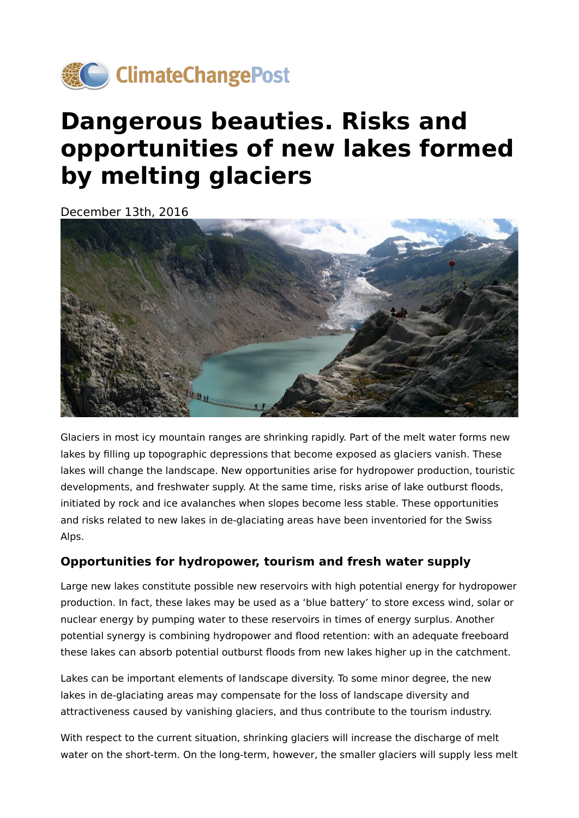

## **Dangerous beauties. Risks and opportunities of new lakes formed by melting glaciers**

December 13th, 2016



Glaciers in most icy mountain ranges are shrinking rapidly. Part of the melt water forms new lakes by filling up topographic depressions that become exposed as glaciers vanish. These lakes will change the landscape. New opportunities arise for hydropower production, touristic developments, and freshwater supply. At the same time, risks arise of lake outburst floods, initiated by rock and ice avalanches when slopes become less stable. These opportunities and risks related to new lakes in de-glaciating areas have been inventoried for the Swiss Alps.

## **Opportunities for hydropower, tourism and fresh water supply**

Large new lakes constitute possible new reservoirs with high potential energy for hydropower production. In fact, these lakes may be used as a 'blue battery' to store excess wind, solar or nuclear energy by pumping water to these reservoirs in times of energy surplus. Another potential synergy is combining hydropower and flood retention: with an adequate freeboard these lakes can absorb potential outburst floods from new lakes higher up in the catchment.

Lakes can be important elements of landscape diversity. To some minor degree, the new lakes in de-glaciating areas may compensate for the loss of landscape diversity and attractiveness caused by vanishing glaciers, and thus contribute to the tourism industry.

With respect to the current situation, shrinking glaciers will increase the discharge of melt water on the short-term. On the long-term, however, the smaller glaciers will supply less melt